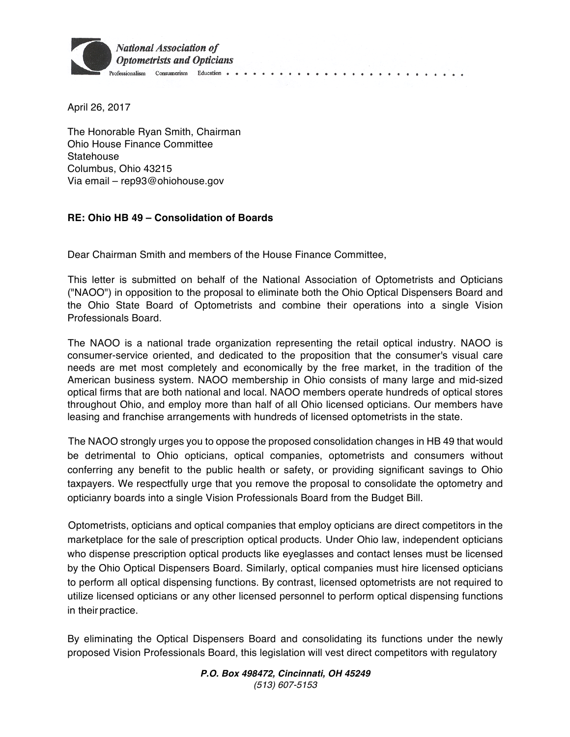

April 26, 2017

The Honorable Ryan Smith, Chairman Ohio House Finance Committee Statehouse Columbus, Ohio 43215 Via email – rep93@ohiohouse.gov

## **RE: Ohio HB 49 – Consolidation of Boards**

Dear Chairman Smith and members of the House Finance Committee,

This letter is submitted on behalf of the National Association of Optometrists and Opticians ("NAOO") in opposition to the proposal to eliminate both the Ohio Optical Dispensers Board and the Ohio State Board of Optometrists and combine their operations into a single Vision Professionals Board.

The NAOO is a national trade organization representing the retail optical industry. NAOO is consumer-service oriented, and dedicated to the proposition that the consumer's visual care needs are met most completely and economically by the free market, in the tradition of the American business system. NAOO membership in Ohio consists of many large and mid-sized optical firms that are both national and local. NAOO members operate hundreds of optical stores throughout Ohio, and employ more than half of all Ohio licensed opticians. Our members have leasing and franchise arrangements with hundreds of licensed optometrists in the state.

The NAOO strongly urges you to oppose the proposed consolidation changes in HB 49 that would be detrimental to Ohio opticians, optical companies, optometrists and consumers without conferring any benefit to the public health or safety, or providing significant savings to Ohio taxpayers. We respectfully urge that you remove the proposal to consolidate the optometry and opticianry boards into a single Vision Professionals Board from the Budget Bill.

Optometrists, opticians and optical companies that employ opticians are direct competitors in the marketplace for the sale of prescription optical products. Under Ohio law, independent opticians who dispense prescription optical products like eyeglasses and contact lenses must be licensed by the Ohio Optical Dispensers Board. Similarly, optical companies must hire licensed opticians to perform all optical dispensing functions. By contrast, licensed optometrists are not required to utilize licensed opticians or any other licensed personnel to perform optical dispensing functions in their practice.

By eliminating the Optical Dispensers Board and consolidating its functions under the newly proposed Vision Professionals Board, this legislation will vest direct competitors with regulatory

> *P.O. Box 498472, Cincinnati, OH 45249 (513) 607-5153*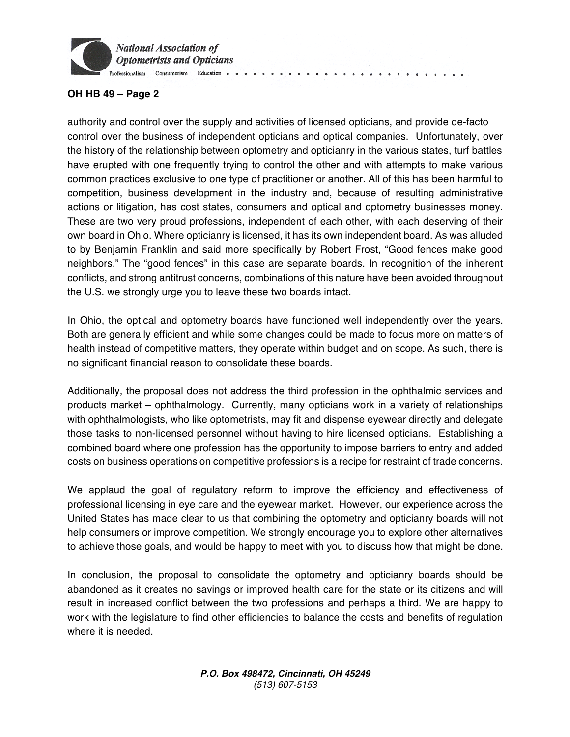

## **OH HB 49 – Page 2**

authority and control over the supply and activities of licensed opticians, and provide de-facto control over the business of independent opticians and optical companies. Unfortunately, over the history of the relationship between optometry and opticianry in the various states, turf battles have erupted with one frequently trying to control the other and with attempts to make various common practices exclusive to one type of practitioner or another. All of this has been harmful to competition, business development in the industry and, because of resulting administrative actions or litigation, has cost states, consumers and optical and optometry businesses money. These are two very proud professions, independent of each other, with each deserving of their own board in Ohio. Where opticianry is licensed, it has its own independent board. As was alluded to by Benjamin Franklin and said more specifically by Robert Frost, "Good fences make good neighbors." The "good fences" in this case are separate boards. In recognition of the inherent conflicts, and strong antitrust concerns, combinations of this nature have been avoided throughout the U.S. we strongly urge you to leave these two boards intact.

In Ohio, the optical and optometry boards have functioned well independently over the years. Both are generally efficient and while some changes could be made to focus more on matters of health instead of competitive matters, they operate within budget and on scope. As such, there is no significant financial reason to consolidate these boards.

Additionally, the proposal does not address the third profession in the ophthalmic services and products market – ophthalmology. Currently, many opticians work in a variety of relationships with ophthalmologists, who like optometrists, may fit and dispense eyewear directly and delegate those tasks to non-licensed personnel without having to hire licensed opticians. Establishing a combined board where one profession has the opportunity to impose barriers to entry and added costs on business operations on competitive professions is a recipe for restraint of trade concerns.

We applaud the goal of regulatory reform to improve the efficiency and effectiveness of professional licensing in eye care and the eyewear market. However, our experience across the United States has made clear to us that combining the optometry and opticianry boards will not help consumers or improve competition. We strongly encourage you to explore other alternatives to achieve those goals, and would be happy to meet with you to discuss how that might be done.

In conclusion, the proposal to consolidate the optometry and opticianry boards should be abandoned as it creates no savings or improved health care for the state or its citizens and will result in increased conflict between the two professions and perhaps a third. We are happy to work with the legislature to find other efficiencies to balance the costs and benefits of regulation where it is needed.

> *P.O. Box 498472, Cincinnati, OH 45249 (513) 607-5153*